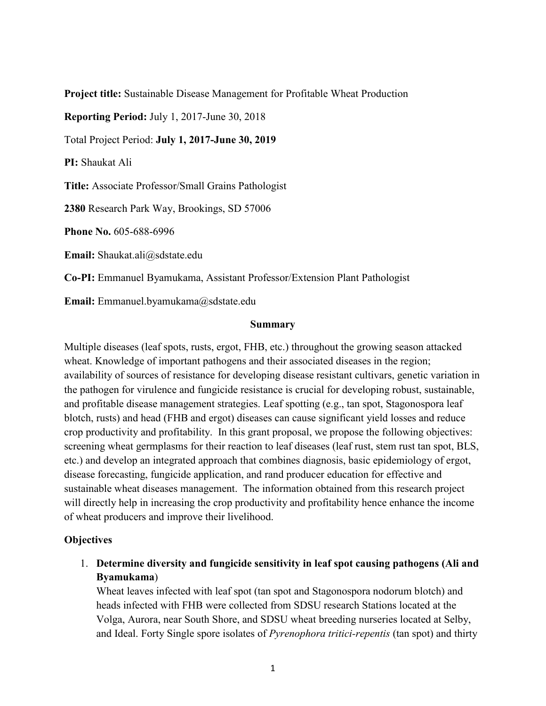Project title: Sustainable Disease Management for Profitable Wheat Production

Reporting Period: July 1, 2017-June 30, 2018

Total Project Period: July 1, 2017-June 30, 2019

PI: Shaukat Ali

Title: Associate Professor/Small Grains Pathologist

2380 Research Park Way, Brookings, SD 57006

Phone No. 605-688-6996

Email: Shaukat.ali@sdstate.edu

Co-PI: Emmanuel Byamukama, Assistant Professor/Extension Plant Pathologist

Email: Emmanuel.byamukama@sdstate.edu

#### Summary

Multiple diseases (leaf spots, rusts, ergot, FHB, etc.) throughout the growing season attacked wheat. Knowledge of important pathogens and their associated diseases in the region; availability of sources of resistance for developing disease resistant cultivars, genetic variation in the pathogen for virulence and fungicide resistance is crucial for developing robust, sustainable, and profitable disease management strategies. Leaf spotting (e.g., tan spot, Stagonospora leaf Fire. Associac Fioresson Smart chanks Famorogest<br> **Phone No.** 605-688-6996<br> **Email:** Shaukat.ali@sdstate.edu<br> **Co-PI:** Emmanuel.byamukama@sdstate.edu<br> **Summary**<br>
Multiple diseases (leaf spots, rusts, ergot, FHB, etc.) thro crop productivity and profitability. In this grant proposal, we propose the following objectives: screening wheat germplasms for their reaction to leaf diseases (leaf rust, stem rust tan spot, BLS, etc.) and develop an integrated approach that combines diagnosis, basic epidemiology of ergot, disease forecasting, fungicide application, and rand producer education for effective and sustainable wheat diseases management. The information obtained from this research project will directly help in increasing the crop productivity and profitability hence enhance the income of wheat producers and improve their livelihood.

### **Objectives**

1. Determine diversity and fungicide sensitivity in leaf spot causing pathogens (Ali and Byamukama)

Wheat leaves infected with leaf spot (tan spot and Stagonospora nodorum blotch) and heads infected with FHB were collected from SDSU research Stations located at the Volga, Aurora, near South Shore, and SDSU wheat breeding nurseries located at Selby, and Ideal. Forty Single spore isolates of *Pyrenophora tritici-repentis* (tan spot) and thirty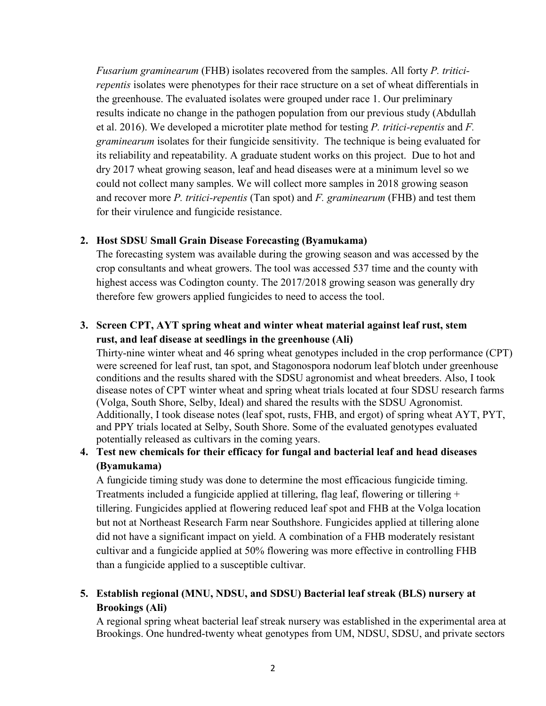Fusarium graminearum (FHB) isolates recovered from the samples. All forty P. triticirepentis isolates were phenotypes for their race structure on a set of wheat differentials in the greenhouse. The evaluated isolates were grouped under race 1. Our preliminary results indicate no change in the pathogen population from our previous study (Abdullah Fusarium graminearum (FHB) isolates recovered from the samples. All forty *P. tritici-*<br>repentis isolates were phenotypes for their race structure on a set of wheat differentials in<br>the greenhouse. The evaluated isolates w graminearum isolates for their fungicide sensitivity. The technique is being evaluated for its reliability and repeatability. A graduate student works on this project. Due to hot and dry 2017 wheat growing season, leaf and head diseases were at a minimum level so we could not collect many samples. We will collect more samples in 2018 growing season and recover more  $P$ . tritici-repentis (Tan spot) and  $F$ . graminearum (FHB) and test them for their virulence and fungicide resistance. *Fusarium graminearum* (FHB) isolates recovered from the samples. All forty *P*. *tritic repentits* isolates were phenotypes for their race structure on a set of wheat differentia the greenhouse. The evaluated isolates the greenhouse. The evaluated isolates were grouped under race 1. Our preliminary<br>results indicate no change in the pathogen population from our previous study (Abdullah<br>et al. 2016). We developed a microtiter plate metho

The forecasting system was available during the growing season and was accessed by the crop consultants and wheat growers. The tool was accessed 537 time and the county with highest access was Codington county. The 2017/2018 growing season was generally dry therefore few growers applied fungicides to need to access the tool.

## rust, and leaf disease at seedlings in the greenhouse (Ali)

Thirty-nine winter wheat and 46 spring wheat genotypes included in the crop performance (CPT) were screened for leaf rust, tan spot, and Stagonospora nodorum leaf blotch under greenhouse conditions and the results shared with the SDSU agronomist and wheat breeders. Also, I took disease notes of CPT winter wheat and spring wheat trials located at four SDSU research farms (Volga, South Shore, Selby, Ideal) and shared the results with the SDSU Agronomist. Additionally, I took disease notes (leaf spot, rusts, FHB, and ergot) of spring wheat AYT, PYT, and PPY trials located at Selby, South Shore. Some of the evaluated genotypes evaluated potentially released as cultivars in the coming years. 2. Host SDSU Small Grain Disease Forceasting (Byamukama)<br>
The forecasting system was available during the growing season and was accessed by the<br>
crop consultants and wheat growers. The tool was accessed 537 time and the

# (Byamukama)

A fungicide timing study was done to determine the most efficacious fungicide timing. Treatments included a fungicide applied at tillering, flag leaf, flowering or tillering + tillering. Fungicides applied at flowering reduced leaf spot and FHB at the Volga location but not at Northeast Research Farm near Southshore. Fungicides applied at tillering alone did not have a significant impact on yield. A combination of a FHB moderately resistant cultivar and a fungicide applied at 50% flowering was more effective in controlling FHB than a fungicide applied to a susceptible cultivar. were screened for leaf rust, tan spot, and Stagonospora nodorum leaf blotch under greconhouse<br>conditions and the results shared with the SDSU agronomist and wheat breeders. Also, I took<br>disease notes of CPT winter wheat an

## Brookings (Ali)

A regional spring wheat bacterial leaf streak nursery was established in the experimental area at Brookings. One hundred-twenty wheat genotypes from UM, NDSU, SDSU, and private sectors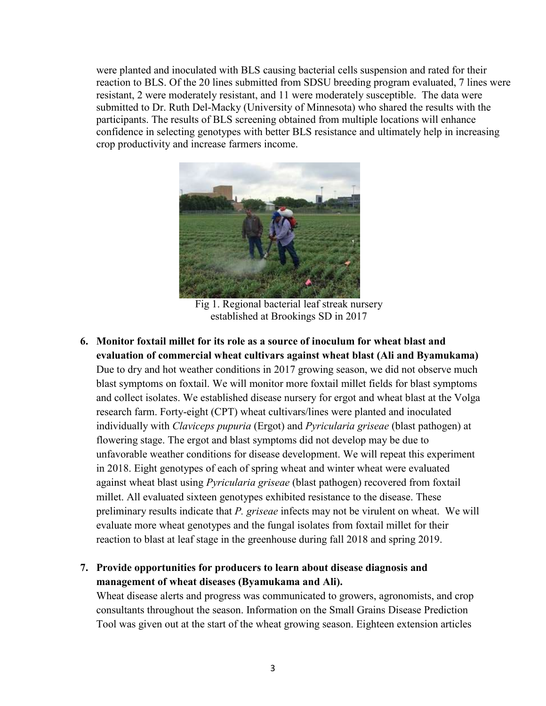were planted and inoculated with BLS causing bacterial cells suspension and rated for their were planted and inoculated with BLS causing bacterial cells suspension and rated for their<br>reaction to BLS. Of the 20 lines submitted from SDSU breeding program evaluated, 7 lines were<br>resistant, 2 were moderately resista were planted and inoculated with BLS causing bacterial cells suspension and rated for their reaction to BLS. Of the 20 lines submitted from SDSU breeding program evaluated, 7 lines were resistant, 2 were moderately resista submitted to Dr. Ruth Del-Macky (University of Minnesota) who shared the results with the participants. The results of BLS screening obtained from multiple locations will enhance confidence in selecting genotypes with better BLS resistance and ultimately help in increasing crop productivity and increase farmers income.



Fig 1. Regional bacterial leaf streak nursery established at Brookings SD in 2017

Fig. 1. Regional batterial end formulations will enhance<br>
enfidence in selecting genotypes with better BLS resistance and ultimately help in increasing<br>
crop productivity and increase farmers income.<br>
Fig. 1. Regional batt evaluation of commercial wheat cultivars against wheat blast (Ali and Byamukama) Due to dry and hot weather conditions in 2017 growing season, we did not observe much blast symptoms on foxtail. We will monitor more foxtail millet fields for blast symptoms Fig. 1. Regional bacterial and steelar at the Volga<br>Fig. 1. Regional bacterial rest is track nursery<br>established at Brookings SD in 2017<br>Monitor fortail millet for its role as a source of inoculum for wheat blast and<br>evalu research farm. Forty-eight (CPT) wheat cultivars/lines were planted and inoculated individually with Claviceps pupuria (Ergot) and Pyricularia griseae (blast pathogen) at flowering stage. The ergot and blast symptoms did not develop may be due to unfavorable weather conditions for disease development. We will repeat this experiment in 2018. Eight genotypes of each of spring wheat and winter wheat were evaluated against wheat blast using *Pyricularia griseae* (blast pathogen) recovered from foxtail Fig 1. Regional bacterial leaf streak nursery<br>
Fig 1. Regional bacterial leaf streak nursery<br>
cstablished at Brookings SD in 2017<br> **Monitor foxtail millet for its role as a source of inoculum for wheat blast and<br>
evaluatio** Fig 1. Regional bacterial leaf streak nursery<br>
established at Brookings SD in 2017<br>
Monitor foxtail millet for its role as a source of inoculum for wheat blast and<br>
evaluation of commercial wheat cultivars against wheat bl evaluate more wheat genotypes and the fungal isolates from foxtail millet for their reaction to blast at leaf stage in the greenhouse during fall 2018 and spring 2019. 6. **Monitor foxtail millet for its role as a source of inoculum for wheat blast and** cycluatation of commercial wheat clutivars against wheat blast (Ail and Byamukama) Due to dry and hot weather conditions in 2017 growing and collect isolates. We established disease nursery for ergot and wheat blast at the Volga<br>research farm. Forty-eight (CPT) wheat cultivars/iness were planted and inoculated<br>individually with Claviceps pupuria (Irspot) an

# management of wheat diseases (Byamukama and Ali).

Wheat disease alerts and progress was communicated to growers, agronomists, and crop consultants throughout the season. Information on the Small Grains Disease Prediction